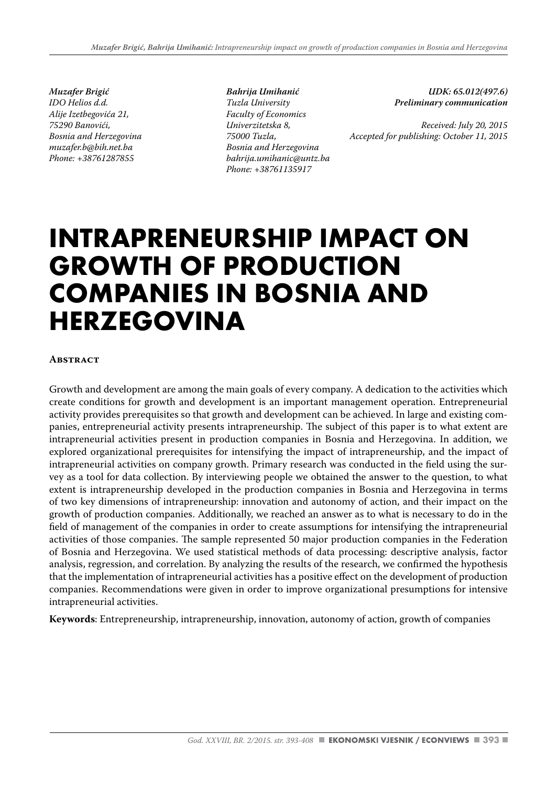*Muzafer Brigić IDO Helios d.d. Alije Izetbegovića 21, 75290 Banovići, Bosnia and Herzegovina muzafer.b@bih.net.ba Phone: +38761287855*

*Bahrija Umihanić Tuzla University Faculty of Economics Univerzitetska 8, 75000 Tuzla, Bosnia and Herzegovina bahrija.umihanic@untz.ba Phone: +38761135917*

*UDK: 65.012(497.6) Preliminary communication* 

*Received: July 20, 2015 Accepted for publishing: October 11, 2015*

# **INTRAPRENEURSHIP IMPACT ON GROWTH OF PRODUCTION COMPANIES IN BOSNIA AND HERZEGOVINA**

#### **Abstract**

Growth and development are among the main goals of every company. A dedication to the activities which create conditions for growth and development is an important management operation. Entrepreneurial activity provides prerequisites so that growth and development can be achieved. In large and existing companies, entrepreneurial activity presents intrapreneurship. The subject of this paper is to what extent are intrapreneurial activities present in production companies in Bosnia and Herzegovina. In addition, we explored organizational prerequisites for intensifying the impact of intrapreneurship, and the impact of intrapreneurial activities on company growth. Primary research was conducted in the field using the survey as a tool for data collection. By interviewing people we obtained the answer to the question, to what extent is intrapreneurship developed in the production companies in Bosnia and Herzegovina in terms of two key dimensions of intrapreneurship: innovation and autonomy of action, and their impact on the growth of production companies. Additionally, we reached an answer as to what is necessary to do in the field of management of the companies in order to create assumptions for intensifying the intrapreneurial activities of those companies. The sample represented 50 major production companies in the Federation of Bosnia and Herzegovina. We used statistical methods of data processing: descriptive analysis, factor analysis, regression, and correlation. By analyzing the results of the research, we confirmed the hypothesis that the implementation of intrapreneurial activities has a positive effect on the development of production companies. Recommendations were given in order to improve organizational presumptions for intensive intrapreneurial activities.

**Keywords**: Entrepreneurship, intrapreneurship, innovation, autonomy of action, growth of companies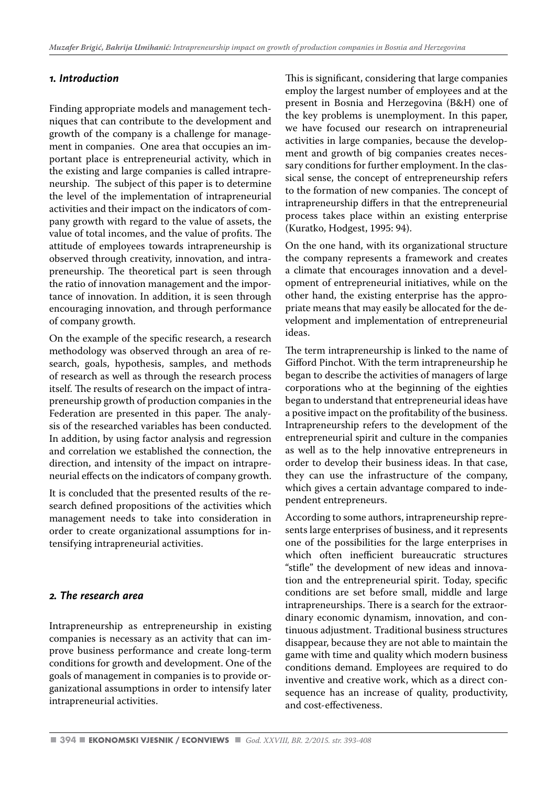## *1. Introduction*

Finding appropriate models and management techniques that can contribute to the development and growth of the company is a challenge for management in companies. One area that occupies an important place is entrepreneurial activity, which in the existing and large companies is called intrapreneurship. The subject of this paper is to determine the level of the implementation of intrapreneurial activities and their impact on the indicators of company growth with regard to the value of assets, the value of total incomes, and the value of profits. The attitude of employees towards intrapreneurship is observed through creativity, innovation, and intrapreneurship. The theoretical part is seen through the ratio of innovation management and the importance of innovation. In addition, it is seen through encouraging innovation, and through performance of company growth.

On the example of the specific research, a research methodology was observed through an area of research, goals, hypothesis, samples, and methods of research as well as through the research process itself. The results of research on the impact of intrapreneurship growth of production companies in the Federation are presented in this paper. The analysis of the researched variables has been conducted. In addition, by using factor analysis and regression and correlation we established the connection, the direction, and intensity of the impact on intrapreneurial effects on the indicators of company growth.

It is concluded that the presented results of the research defined propositions of the activities which management needs to take into consideration in order to create organizational assumptions for intensifying intrapreneurial activities.

#### *2. The research area*

Intrapreneurship as entrepreneurship in existing companies is necessary as an activity that can improve business performance and create long-term conditions for growth and development. One of the goals of management in companies is to provide organizational assumptions in order to intensify later intrapreneurial activities.

This is significant, considering that large companies employ the largest number of employees and at the present in Bosnia and Herzegovina (B&H) one of the key problems is unemployment. In this paper, we have focused our research on intrapreneurial activities in large companies, because the development and growth of big companies creates necessary conditions for further employment. In the classical sense, the concept of entrepreneurship refers to the formation of new companies. The concept of intrapreneurship differs in that the entrepreneurial process takes place within an existing enterprise (Kuratko, Hodgest, 1995: 94).

On the one hand, with its organizational structure the company represents a framework and creates a climate that encourages innovation and a development of entrepreneurial initiatives, while on the other hand, the existing enterprise has the appropriate means that may easily be allocated for the development and implementation of entrepreneurial ideas.

The term intrapreneurship is linked to the name of Gifford Pinchot. With the term intrapreneurship he began to describe the activities of managers of large corporations who at the beginning of the eighties began to understand that entrepreneurial ideas have a positive impact on the profitability of the business. Intrapreneurship refers to the development of the entrepreneurial spirit and culture in the companies as well as to the help innovative entrepreneurs in order to develop their business ideas. In that case, they can use the infrastructure of the company, which gives a certain advantage compared to independent entrepreneurs.

According to some authors, intrapreneurship represents large enterprises of business, and it represents one of the possibilities for the large enterprises in which often inefficient bureaucratic structures "stifle" the development of new ideas and innovation and the entrepreneurial spirit. Today, specific conditions are set before small, middle and large intrapreneurships. There is a search for the extraordinary economic dynamism, innovation, and continuous adjustment. Traditional business structures disappear, because they are not able to maintain the game with time and quality which modern business conditions demand. Employees are required to do inventive and creative work, which as a direct consequence has an increase of quality, productivity, and cost-effectiveness.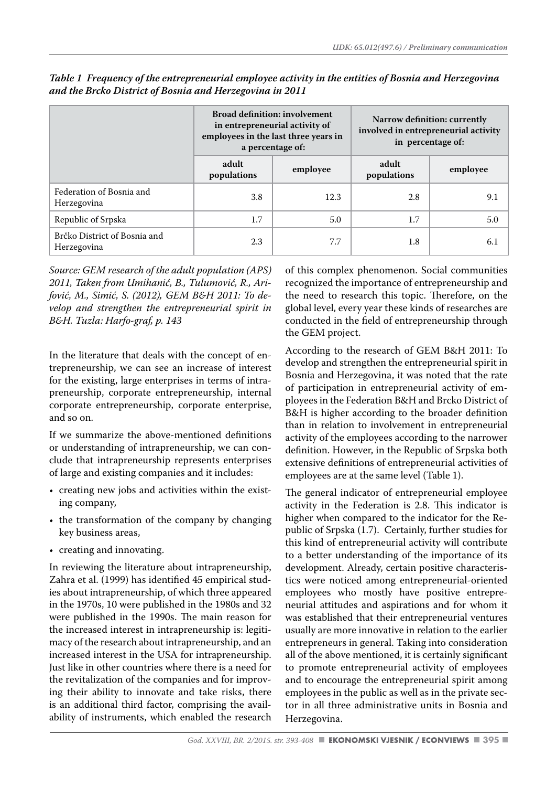|                                             | <b>Broad definition: involvement</b><br>in entrepreneurial activity of<br>employees in the last three years in<br>a percentage of: |          | Narrow definition: currently<br>involved in entrepreneurial activity<br>in percentage of: |          |
|---------------------------------------------|------------------------------------------------------------------------------------------------------------------------------------|----------|-------------------------------------------------------------------------------------------|----------|
|                                             | adult<br>populations                                                                                                               | employee | adult<br>populations                                                                      | employee |
| Federation of Bosnia and<br>Herzegovina     | 3.8                                                                                                                                | 12.3     | 2.8                                                                                       | 9.1      |
| Republic of Srpska                          | 1.7                                                                                                                                | 5.0      | 1.7                                                                                       | 5.0      |
| Brčko District of Bosnia and<br>Herzegovina | 2.3                                                                                                                                | 7.7      | 1.8                                                                                       | 6.1      |

*Table 1 Frequency of the entrepreneurial employee activity in the entities of Bosnia and Herzegovina and the Brcko District of Bosnia and Herzegovina in 2011*

*Source: GEM research of the adult population (APS) 2011, Taken from Umihanić, B., Tulumović, R., Arifović, M., Simić, S. (2012), GEM B&H 2011: To develop and strengthen the entrepreneurial spirit in B&H. Tuzla: Harfo-graf, p. 143* 

In the literature that deals with the concept of entrepreneurship, we can see an increase of interest for the existing, large enterprises in terms of intrapreneurship, corporate entrepreneurship, internal corporate entrepreneurship, corporate enterprise, and so on.

If we summarize the above-mentioned definitions or understanding of intrapreneurship, we can conclude that intrapreneurship represents enterprises of large and existing companies and it includes:

- creating new jobs and activities within the existing company,
- the transformation of the company by changing key business areas,
- creating and innovating.

In reviewing the literature about intrapreneurship, Zahra et al. (1999) has identified 45 empirical studies about intrapreneurship, of which three appeared in the 1970s, 10 were published in the 1980s and 32 were published in the 1990s. The main reason for the increased interest in intrapreneurship is: legitimacy of the research about intrapreneurship, and an increased interest in the USA for intrapreneurship. Just like in other countries where there is a need for the revitalization of the companies and for improving their ability to innovate and take risks, there is an additional third factor, comprising the availability of instruments, which enabled the research of this complex phenomenon. Social communities recognized the importance of entrepreneurship and the need to research this topic. Therefore, on the global level, every year these kinds of researches are conducted in the field of entrepreneurship through the GEM project.

According to the research of GEM B&H 2011: To develop and strengthen the entrepreneurial spirit in Bosnia and Herzegovina, it was noted that the rate of participation in entrepreneurial activity of employees in the Federation B&H and Brcko District of B&H is higher according to the broader definition than in relation to involvement in entrepreneurial activity of the employees according to the narrower definition. However, in the Republic of Srpska both extensive definitions of entrepreneurial activities of employees are at the same level (Table 1).

The general indicator of entrepreneurial employee activity in the Federation is 2.8. This indicator is higher when compared to the indicator for the Republic of Srpska (1.7). Certainly, further studies for this kind of entrepreneurial activity will contribute to a better understanding of the importance of its development. Already, certain positive characteristics were noticed among entrepreneurial-oriented employees who mostly have positive entrepreneurial attitudes and aspirations and for whom it was established that their entrepreneurial ventures usually are more innovative in relation to the earlier entrepreneurs in general. Taking into consideration all of the above mentioned, it is certainly significant to promote entrepreneurial activity of employees and to encourage the entrepreneurial spirit among employees in the public as well as in the private sector in all three administrative units in Bosnia and Herzegovina.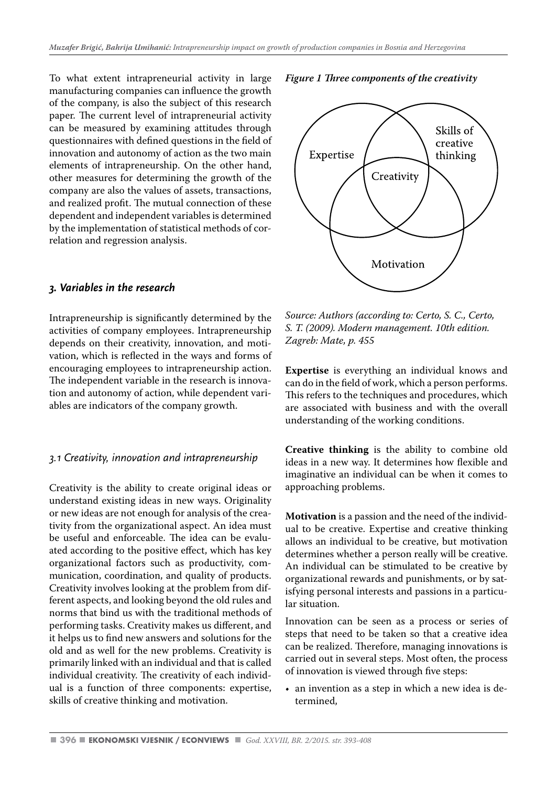To what extent intrapreneurial activity in large manufacturing companies can influence the growth of the company, is also the subject of this research paper. The current level of intrapreneurial activity can be measured by examining attitudes through questionnaires with defined questions in the field of innovation and autonomy of action as the two main elements of intrapreneurship. On the other hand, other measures for determining the growth of the company are also the values of assets, transactions, and realized profit. The mutual connection of these dependent and independent variables is determined by the implementation of statistical methods of correlation and regression analysis.

#### *3. Variables in the research*

Intrapreneurship is significantly determined by the activities of company employees. Intrapreneurship depends on their creativity, innovation, and motivation, which is reflected in the ways and forms of encouraging employees to intrapreneurship action. The independent variable in the research is innovation and autonomy of action, while dependent variables are indicators of the company growth.

#### *3.1 Creativity, innovation and intrapreneurship*

Creativity is the ability to create original ideas or understand existing ideas in new ways. Originality or new ideas are not enough for analysis of the creativity from the organizational aspect. An idea must be useful and enforceable. The idea can be evaluated according to the positive effect, which has key organizational factors such as productivity, communication, coordination, and quality of products. Creativity involves looking at the problem from different aspects, and looking beyond the old rules and norms that bind us with the traditional methods of performing tasks. Creativity makes us different, and it helps us to find new answers and solutions for the old and as well for the new problems. Creativity is primarily linked with an individual and that is called individual creativity. The creativity of each individual is a function of three components: expertise, skills of creative thinking and motivation.

*Figure 1 Three components of the creativity*



*Source: Authors (according to: Certo, S. C., Certo, S. T. (2009). Modern management. 10th edition. Zagreb: Mate, p. 455*

**Expertise** is everything an individual knows and can do in the field of work, which a person performs. This refers to the techniques and procedures, which are associated with business and with the overall understanding of the working conditions.

**Creative thinking** is the ability to combine old ideas in a new way. It determines how flexible and imaginative an individual can be when it comes to approaching problems.

**Motivation** is a passion and the need of the individual to be creative. Expertise and creative thinking allows an individual to be creative, but motivation determines whether a person really will be creative. An individual can be stimulated to be creative by organizational rewards and punishments, or by satisfying personal interests and passions in a particular situation.

Innovation can be seen as a process or series of steps that need to be taken so that a creative idea can be realized. Therefore, managing innovations is carried out in several steps. Most often, the process of innovation is viewed through five steps:

• an invention as a step in which a new idea is determined,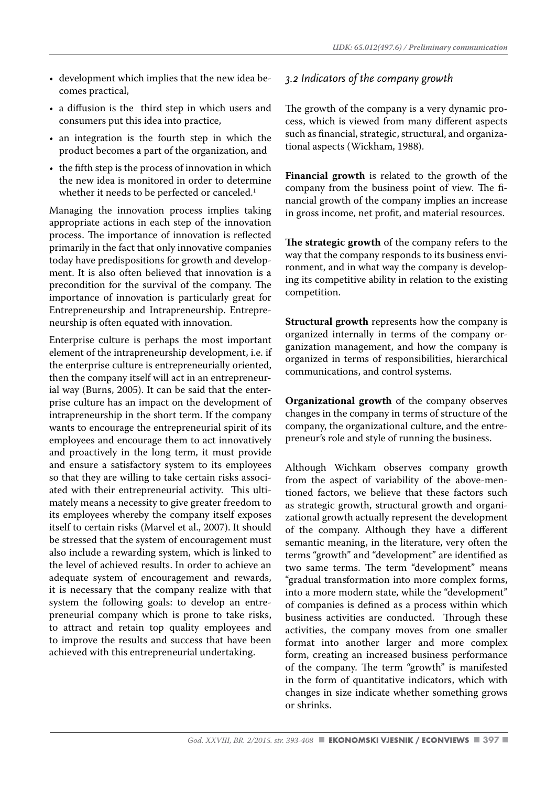- development which implies that the new idea becomes practical,
- a diffusion is the third step in which users and consumers put this idea into practice,
- an integration is the fourth step in which the product becomes a part of the organization, and
- the fifth step is the process of innovation in which the new idea is monitored in order to determine whether it needs to be perfected or canceled.<sup>1</sup>

Managing the innovation process implies taking appropriate actions in each step of the innovation process. The importance of innovation is reflected primarily in the fact that only innovative companies today have predispositions for growth and development. It is also often believed that innovation is a precondition for the survival of the company. The importance of innovation is particularly great for Entrepreneurship and Intrapreneurship. Entrepreneurship is often equated with innovation.

Enterprise culture is perhaps the most important element of the intrapreneurship development, i.e. if the enterprise culture is entrepreneurially oriented, then the company itself will act in an entrepreneurial way (Burns, 2005). It can be said that the enterprise culture has an impact on the development of intrapreneurship in the short term. If the company wants to encourage the entrepreneurial spirit of its employees and encourage them to act innovatively and proactively in the long term, it must provide and ensure a satisfactory system to its employees so that they are willing to take certain risks associated with their entrepreneurial activity. This ultimately means a necessity to give greater freedom to its employees whereby the company itself exposes itself to certain risks (Marvel et al., 2007). It should be stressed that the system of encouragement must also include a rewarding system, which is linked to the level of achieved results. In order to achieve an adequate system of encouragement and rewards, it is necessary that the company realize with that system the following goals: to develop an entrepreneurial company which is prone to take risks, to attract and retain top quality employees and to improve the results and success that have been achieved with this entrepreneurial undertaking.

#### *3.2 Indicators of the company growth*

The growth of the company is a very dynamic process, which is viewed from many different aspects such as financial, strategic, structural, and organizational aspects (Wickham, 1988).

**Financial growth** is related to the growth of the company from the business point of view. The financial growth of the company implies an increase in gross income, net profit, and material resources.

**The strategic growth** of the company refers to the way that the company responds to its business environment, and in what way the company is developing its competitive ability in relation to the existing competition.

**Structural growth** represents how the company is organized internally in terms of the company organization management, and how the company is organized in terms of responsibilities, hierarchical communications, and control systems.

**Organizational growth** of the company observes changes in the company in terms of structure of the company, the organizational culture, and the entrepreneur's role and style of running the business.

Although Wichkam observes company growth from the aspect of variability of the above-mentioned factors, we believe that these factors such as strategic growth, structural growth and organizational growth actually represent the development of the company. Although they have a different semantic meaning, in the literature, very often the terms "growth" and "development" are identified as two same terms. The term "development" means "gradual transformation into more complex forms, into a more modern state, while the "development" of companies is defined as a process within which business activities are conducted. Through these activities, the company moves from one smaller format into another larger and more complex form, creating an increased business performance of the company. The term "growth" is manifested in the form of quantitative indicators, which with changes in size indicate whether something grows or shrinks.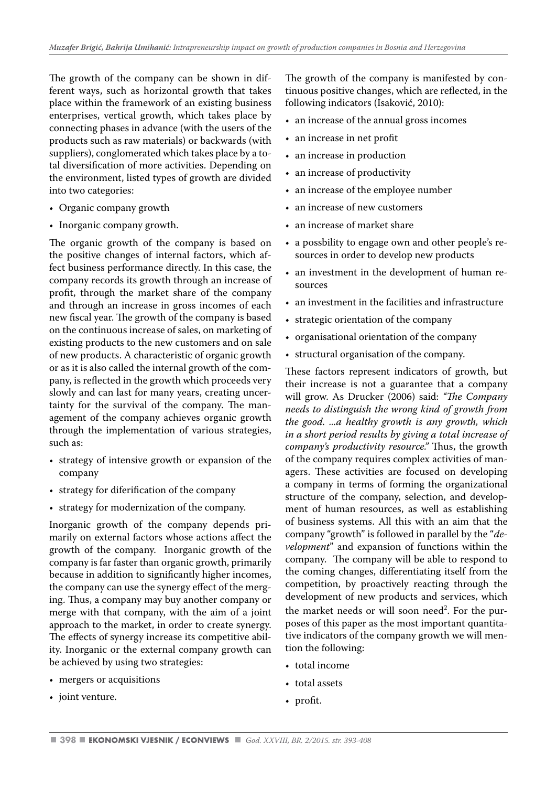The growth of the company can be shown in different ways, such as horizontal growth that takes place within the framework of an existing business enterprises, vertical growth, which takes place by connecting phases in advance (with the users of the products such as raw materials) or backwards (with suppliers), conglomerated which takes place by a total diversification of more activities. Depending on the environment, listed types of growth are divided into two categories:

- Organic company growth
- Inorganic company growth.

The organic growth of the company is based on the positive changes of internal factors, which affect business performance directly. In this case, the company records its growth through an increase of profit, through the market share of the company and through an increase in gross incomes of each new fiscal year. The growth of the company is based on the continuous increase of sales, on marketing of existing products to the new customers and on sale of new products. A characteristic of organic growth or as it is also called the internal growth of the company, is reflected in the growth which proceeds very slowly and can last for many years, creating uncertainty for the survival of the company. The management of the company achieves organic growth through the implementation of various strategies, such as:

- strategy of intensive growth or expansion of the company
- strategy for diferification of the company
- strategy for modernization of the company.

Inorganic growth of the company depends primarily on external factors whose actions affect the growth of the company. Inorganic growth of the company is far faster than organic growth, primarily because in addition to significantly higher incomes, the company can use the synergy effect of the merging. Thus, a company may buy another company or merge with that company, with the aim of a joint approach to the market, in order to create synergy. The effects of synergy increase its competitive ability. Inorganic or the external company growth can be achieved by using two strategies:

- mergers or acquisitions
- joint venture.

The growth of the company is manifested by continuous positive changes, which are reflected, in the following indicators (Isaković, 2010):

- an increase of the annual gross incomes
- an increase in net profit
- an increase in production
- an increase of productivity
- an increase of the employee number
- an increase of new customers
- an increase of market share
- a possbility to engage own and other people's resources in order to develop new products
- an investment in the development of human resources
- an investment in the facilities and infrastructure
- strategic orientation of the company
- organisational orientation of the company
- structural organisation of the company.

These factors represent indicators of growth, but their increase is not a guarantee that a company will grow. As Drucker (2006) said: *"The Company needs to distinguish the wrong kind of growth from the good. ...a healthy growth is any growth, which in a short period results by giving a total increase of company's productivity resource."* Thus, the growth of the company requires complex activities of managers. These activities are focused on developing a company in terms of forming the organizational structure of the company, selection, and development of human resources, as well as establishing of business systems. All this with an aim that the company "growth" is followed in parallel by the "*development*" and expansion of functions within the company. The company will be able to respond to the coming changes, differentiating itself from the competition, by proactively reacting through the development of new products and services, which the market needs or will soon need<sup>2</sup>. For the purposes of this paper as the most important quantitative indicators of the company growth we will mention the following:

- total income
- total assets
- profit.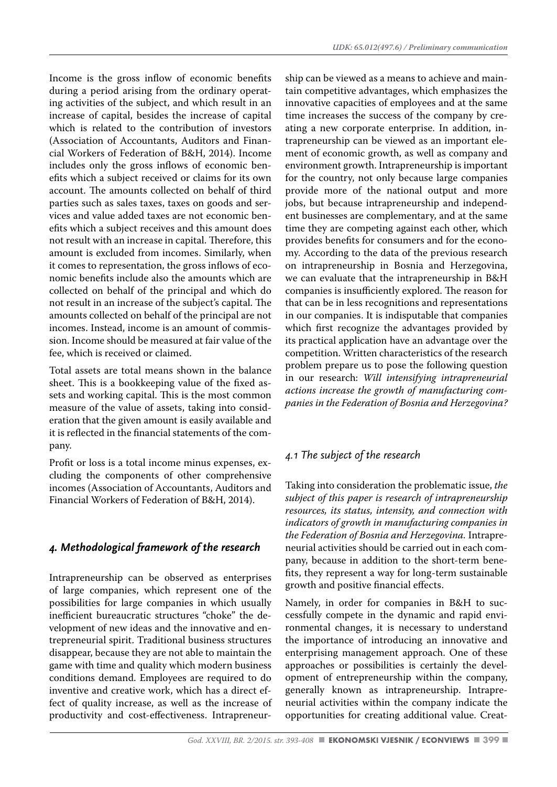Income is the gross inflow of economic benefits during a period arising from the ordinary operating activities of the subject, and which result in an increase of capital, besides the increase of capital which is related to the contribution of investors (Association of Accountants, Auditors and Financial Workers of Federation of B&H, 2014). Income includes only the gross inflows of economic benefits which a subject received or claims for its own account. The amounts collected on behalf of third parties such as sales taxes, taxes on goods and services and value added taxes are not economic benefits which a subject receives and this amount does not result with an increase in capital. Therefore, this amount is excluded from incomes. Similarly, when it comes to representation, the gross inflows of economic benefits include also the amounts which are collected on behalf of the principal and which do not result in an increase of the subject's capital. The amounts collected on behalf of the principal are not incomes. Instead, income is an amount of commission. Income should be measured at fair value of the fee, which is received or claimed.

Total assets are total means shown in the balance sheet. This is a bookkeeping value of the fixed assets and working capital. This is the most common measure of the value of assets, taking into consideration that the given amount is easily available and it is reflected in the financial statements of the company.

Profit or loss is a total income minus expenses, excluding the components of other comprehensive incomes (Association of Accountants, Auditors and Financial Workers of Federation of B&H, 2014).

# *4. Methodological framework of the research*

Intrapreneurship can be observed as enterprises of large companies, which represent one of the possibilities for large companies in which usually inefficient bureaucratic structures "choke" the development of new ideas and the innovative and entrepreneurial spirit. Traditional business structures disappear, because they are not able to maintain the game with time and quality which modern business conditions demand. Employees are required to do inventive and creative work, which has a direct effect of quality increase, as well as the increase of productivity and cost-effectiveness. Intrapreneur-

ship can be viewed as a means to achieve and maintain competitive advantages, which emphasizes the innovative capacities of employees and at the same time increases the success of the company by creating a new corporate enterprise. In addition, intrapreneurship can be viewed as an important element of economic growth, as well as company and environment growth. Intrapreneurship is important for the country, not only because large companies provide more of the national output and more jobs, but because intrapreneurship and independent businesses are complementary, and at the same time they are competing against each other, which provides benefits for consumers and for the economy. According to the data of the previous research on intrapreneurship in Bosnia and Herzegovina, we can evaluate that the intrapreneurship in B&H companies is insufficiently explored. The reason for that can be in less recognitions and representations in our companies. It is indisputable that companies which first recognize the advantages provided by its practical application have an advantage over the competition. Written characteristics of the research problem prepare us to pose the following question in our research: *Will intensifying intrapreneurial actions increase the growth of manufacturing companies in the Federation of Bosnia and Herzegovina?*

# *4.1 The subject of the research*

Taking into consideration the problematic issue, *the subject of this paper is research of intrapreneurship resources, its status, intensity, and connection with indicators of growth in manufacturing companies in the Federation of Bosnia and Herzegovina.* Intrapreneurial activities should be carried out in each company, because in addition to the short-term benefits, they represent a way for long-term sustainable growth and positive financial effects.

Namely, in order for companies in B&H to successfully compete in the dynamic and rapid environmental changes, it is necessary to understand the importance of introducing an innovative and enterprising management approach. One of these approaches or possibilities is certainly the development of entrepreneurship within the company, generally known as intrapreneurship. Intrapreneurial activities within the company indicate the opportunities for creating additional value. Creat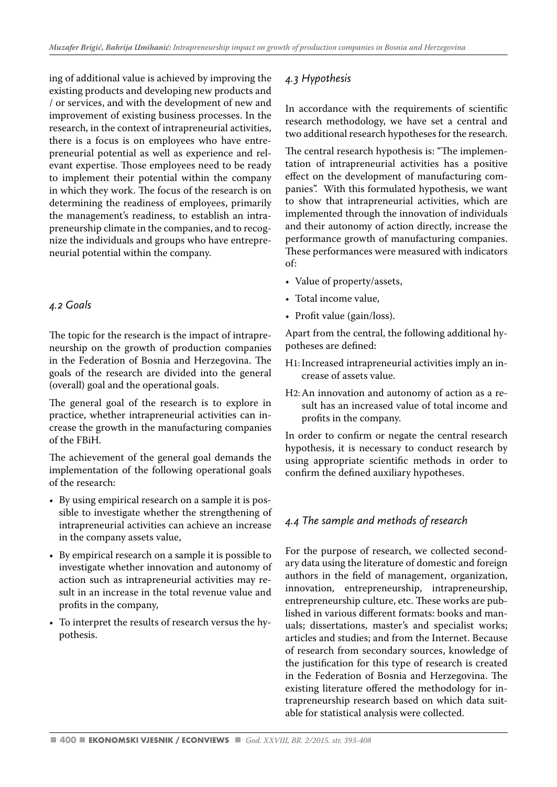ing of additional value is achieved by improving the existing products and developing new products and / or services, and with the development of new and improvement of existing business processes. In the research, in the context of intrapreneurial activities, there is a focus is on employees who have entrepreneurial potential as well as experience and relevant expertise. Those employees need to be ready to implement their potential within the company in which they work. The focus of the research is on determining the readiness of employees, primarily the management's readiness, to establish an intrapreneurship climate in the companies, and to recognize the individuals and groups who have entrepreneurial potential within the company.

# *4.2 Goals*

The topic for the research is the impact of intrapreneurship on the growth of production companies in the Federation of Bosnia and Herzegovina. The goals of the research are divided into the general (overall) goal and the operational goals.

The general goal of the research is to explore in practice, whether intrapreneurial activities can increase the growth in the manufacturing companies of the FBiH.

The achievement of the general goal demands the implementation of the following operational goals of the research:

- By using empirical research on a sample it is possible to investigate whether the strengthening of intrapreneurial activities can achieve an increase in the company assets value,
- By empirical research on a sample it is possible to investigate whether innovation and autonomy of action such as intrapreneurial activities may result in an increase in the total revenue value and profits in the company,
- To interpret the results of research versus the hypothesis.

# *4.3 Hypothesis*

In accordance with the requirements of scientific research methodology, we have set a central and two additional research hypotheses for the research.

The central research hypothesis is: "The implementation of intrapreneurial activities has a positive effect on the development of manufacturing companies". With this formulated hypothesis, we want to show that intrapreneurial activities, which are implemented through the innovation of individuals and their autonomy of action directly, increase the performance growth of manufacturing companies. These performances were measured with indicators of:

- Value of property/assets,
- Total income value,
- Profit value (gain/loss).

Apart from the central, the following additional hypotheses are defined:

- H1: Increased intrapreneurial activities imply an increase of assets value.
- H2: An innovation and autonomy of action as a result has an increased value of total income and profits in the company.

In order to confirm or negate the central research hypothesis, it is necessary to conduct research by using appropriate scientific methods in order to confirm the defined auxiliary hypotheses.

# *4.4 The sample and methods of research*

For the purpose of research, we collected secondary data using the literature of domestic and foreign authors in the field of management, organization, innovation, entrepreneurship, intrapreneurship, entrepreneurship culture, etc. These works are published in various different formats: books and manuals; dissertations, master's and specialist works; articles and studies; and from the Internet. Because of research from secondary sources, knowledge of the justification for this type of research is created in the Federation of Bosnia and Herzegovina. The existing literature offered the methodology for intrapreneurship research based on which data suitable for statistical analysis were collected.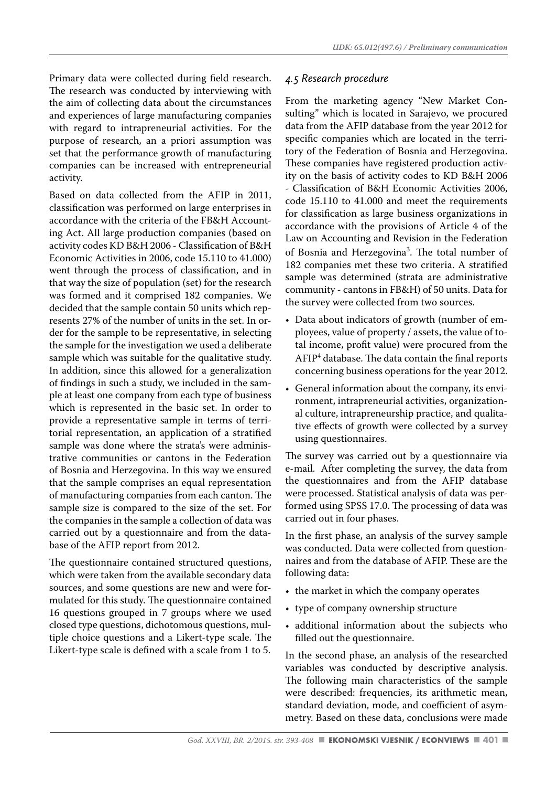Primary data were collected during field research. The research was conducted by interviewing with the aim of collecting data about the circumstances and experiences of large manufacturing companies with regard to intrapreneurial activities. For the purpose of research, an a priori assumption was set that the performance growth of manufacturing companies can be increased with entrepreneurial activity.

Based on data collected from the AFIP in 2011, classification was performed on large enterprises in accordance with the criteria of the FB&H Accounting Act. All large production companies (based on activity codes KD B&H 2006 - Classification of B&H Economic Activities in 2006, code 15.110 to 41.000) went through the process of classification, and in that way the size of population (set) for the research was formed and it comprised 182 companies. We decided that the sample contain 50 units which represents 27% of the number of units in the set. In order for the sample to be representative, in selecting the sample for the investigation we used a deliberate sample which was suitable for the qualitative study. In addition, since this allowed for a generalization of findings in such a study, we included in the sample at least one company from each type of business which is represented in the basic set. In order to provide a representative sample in terms of territorial representation, an application of a stratified sample was done where the strata's were administrative communities or cantons in the Federation of Bosnia and Herzegovina. In this way we ensured that the sample comprises an equal representation of manufacturing companies from each canton. The sample size is compared to the size of the set. For the companies in the sample a collection of data was carried out by a questionnaire and from the database of the AFIP report from 2012.

The questionnaire contained structured questions, which were taken from the available secondary data sources, and some questions are new and were formulated for this study. The questionnaire contained 16 questions grouped in 7 groups where we used closed type questions, dichotomous questions, multiple choice questions and a Likert-type scale. The Likert-type scale is defined with a scale from 1 to 5.

#### *4.5 Research procedure*

From the marketing agency "New Market Consulting" which is located in Sarajevo, we procured data from the AFIP database from the year 2012 for specific companies which are located in the territory of the Federation of Bosnia and Herzegovina. These companies have registered production activity on the basis of activity codes to KD B&H 2006 - Classification of B&H Economic Activities 2006, code 15.110 to 41.000 and meet the requirements for classification as large business organizations in accordance with the provisions of Article 4 of the Law on Accounting and Revision in the Federation of Bosnia and Herzegovina<sup>3</sup>. The total number of 182 companies met these two criteria. A stratified sample was determined (strata are administrative community - cantons in FB&H) of 50 units. Data for the survey were collected from two sources.

- Data about indicators of growth (number of employees, value of property / assets, the value of total income, profit value) were procured from the AFIP<sup>4</sup> database. The data contain the final reports concerning business operations for the year 2012.
- General information about the company, its environment, intrapreneurial activities, organizational culture, intrapreneurship practice, and qualitative effects of growth were collected by a survey using questionnaires.

The survey was carried out by a questionnaire via e-mail. After completing the survey, the data from the questionnaires and from the AFIP database were processed. Statistical analysis of data was performed using SPSS 17.0. The processing of data was carried out in four phases.

In the first phase, an analysis of the survey sample was conducted. Data were collected from questionnaires and from the database of AFIP. These are the following data:

- the market in which the company operates
- type of company ownership structure
- additional information about the subjects who filled out the questionnaire.

In the second phase, an analysis of the researched variables was conducted by descriptive analysis. The following main characteristics of the sample were described: frequencies, its arithmetic mean, standard deviation, mode, and coefficient of asymmetry. Based on these data, conclusions were made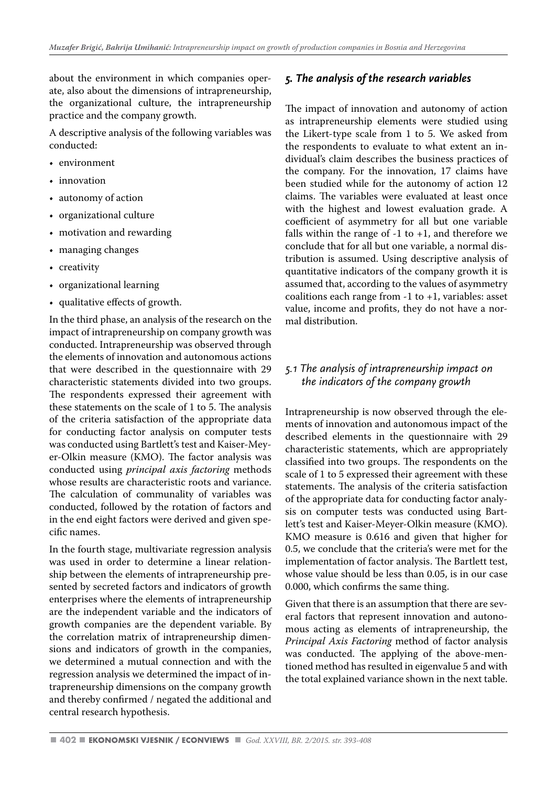about the environment in which companies operate, also about the dimensions of intrapreneurship, the organizational culture, the intrapreneurship practice and the company growth.

A descriptive analysis of the following variables was conducted:

- environment
- innovation
- autonomy of action
- organizational culture
- motivation and rewarding
- managing changes
- creativity
- organizational learning
- qualitative effects of growth.

In the third phase, an analysis of the research on the impact of intrapreneurship on company growth was conducted. Intrapreneurship was observed through the elements of innovation and autonomous actions that were described in the questionnaire with 29 characteristic statements divided into two groups. The respondents expressed their agreement with these statements on the scale of 1 to 5. The analysis of the criteria satisfaction of the appropriate data for conducting factor analysis on computer tests was conducted using Bartlett's test and Kaiser-Meyer-Olkin measure (KMO). The factor analysis was conducted using *principal axis factoring* methods whose results are characteristic roots and variance. The calculation of communality of variables was conducted, followed by the rotation of factors and in the end eight factors were derived and given specific names.

In the fourth stage, multivariate regression analysis was used in order to determine a linear relationship between the elements of intrapreneurship presented by secreted factors and indicators of growth enterprises where the elements of intrapreneurship are the independent variable and the indicators of growth companies are the dependent variable. By the correlation matrix of intrapreneurship dimensions and indicators of growth in the companies, we determined a mutual connection and with the regression analysis we determined the impact of intrapreneurship dimensions on the company growth and thereby confirmed / negated the additional and central research hypothesis.

# *5. The analysis of the research variables*

The impact of innovation and autonomy of action as intrapreneurship elements were studied using the Likert-type scale from 1 to 5. We asked from the respondents to evaluate to what extent an individual's claim describes the business practices of the company. For the innovation, 17 claims have been studied while for the autonomy of action 12 claims. The variables were evaluated at least once with the highest and lowest evaluation grade. A coefficient of asymmetry for all but one variable falls within the range of  $-1$  to  $+1$ , and therefore we conclude that for all but one variable, a normal distribution is assumed. Using descriptive analysis of quantitative indicators of the company growth it is assumed that, according to the values of asymmetry coalitions each range from  $-1$  to  $+1$ , variables: asset value, income and profits, they do not have a normal distribution.

# *5.1 The analysis of intrapreneurship impact on the indicators of the company growth*

Intrapreneurship is now observed through the elements of innovation and autonomous impact of the described elements in the questionnaire with 29 characteristic statements, which are appropriately classified into two groups. The respondents on the scale of 1 to 5 expressed their agreement with these statements. The analysis of the criteria satisfaction of the appropriate data for conducting factor analysis on computer tests was conducted using Bartlett's test and Kaiser-Meyer-Olkin measure (KMO). KMO measure is 0.616 and given that higher for 0.5, we conclude that the criteria's were met for the implementation of factor analysis. The Bartlett test, whose value should be less than 0.05, is in our case 0.000, which confirms the same thing.

Given that there is an assumption that there are several factors that represent innovation and autonomous acting as elements of intrapreneurship, the *Principal Axis Factoring* method of factor analysis was conducted. The applying of the above-mentioned method has resulted in eigenvalue 5 and with the total explained variance shown in the next table.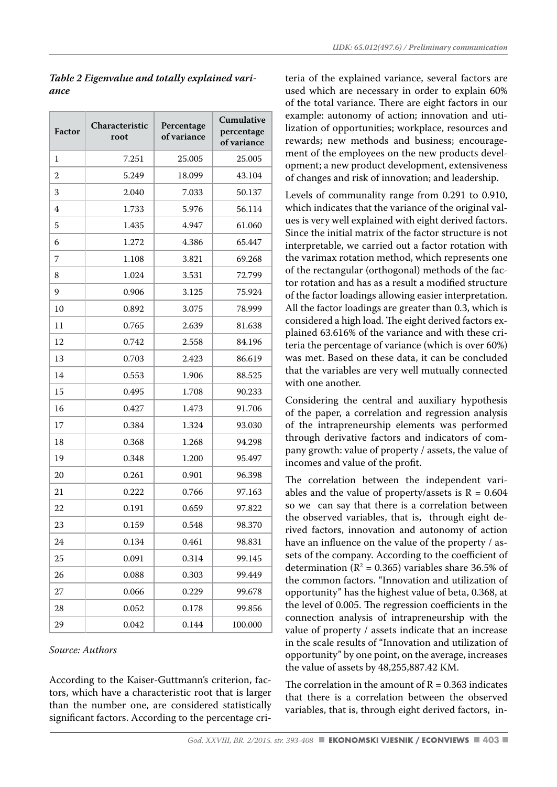| Factor         | Characteristic<br>root | Percentage<br>of variance | Cumulative<br>percentage<br>of variance |
|----------------|------------------------|---------------------------|-----------------------------------------|
| 1              | 7.251                  | 25.005                    | 25.005                                  |
| $\overline{2}$ | 5.249                  | 18.099                    | 43.104                                  |
| 3              | 2.040                  | 7.033                     | 50.137                                  |
| 4              | 1.733                  | 5.976                     | 56.114                                  |
| 5              | 1.435                  | 4.947                     | 61.060                                  |
| 6              | 1.272                  | 4.386                     | 65.447                                  |
| 7              | 1.108                  | 3.821                     | 69.268                                  |
| 8              | 1.024                  | 3.531                     | 72.799                                  |
| 9              | 0.906                  | 3.125                     | 75.924                                  |
| 10             | 0.892                  | 3.075                     | 78.999                                  |
| 11             | 0.765                  | 2.639                     | 81.638                                  |
| 12             | 0.742                  | 2.558                     | 84.196                                  |
| 13             | 0.703                  | 2.423                     | 86.619                                  |
| 14             | 0.553                  | 1.906                     | 88.525                                  |
| 15             | 0.495                  | 1.708                     | 90.233                                  |
| 16             | 0.427                  | 1.473                     | 91.706                                  |
| 17             | 0.384                  | 1.324                     | 93.030                                  |
| 18             | 0.368                  | 1.268                     | 94.298                                  |
| 19             | 0.348                  | 1.200                     | 95.497                                  |
| 20             | 0.261                  | 0.901                     | 96.398                                  |
| 21             | 0.222                  | 0.766                     | 97.163                                  |
| 22             | 0.191                  | 0.659                     | 97.822                                  |
| 23             | 0.159                  | 0.548                     | 98.370                                  |
| 24             | 0.134                  | 0.461                     | 98.831                                  |
| 25             | 0.091                  | 0.314                     | 99.145                                  |
| 26             | 0.088                  | 0.303                     | 99.449                                  |
| 27             | 0.066                  | 0.229                     | 99.678                                  |
| 28             | 0.052                  | 0.178                     | 99.856                                  |
| 29             | 0.042                  | 0.144                     | 100.000                                 |

#### *Table 2 Eigenvalue and totally explained variance*

#### *Source: Authors*

According to the Kaiser-Guttmann's criterion, factors, which have a characteristic root that is larger than the number one, are considered statistically significant factors. According to the percentage criteria of the explained variance, several factors are used which are necessary in order to explain 60% of the total variance. There are eight factors in our example: autonomy of action; innovation and utilization of opportunities; workplace, resources and rewards; new methods and business; encouragement of the employees on the new products development; a new product development, extensiveness of changes and risk of innovation; and leadership.

Levels of communality range from 0.291 to 0.910, which indicates that the variance of the original values is very well explained with eight derived factors. Since the initial matrix of the factor structure is not interpretable, we carried out a factor rotation with the varimax rotation method, which represents one of the rectangular (orthogonal) methods of the factor rotation and has as a result a modified structure of the factor loadings allowing easier interpretation. All the factor loadings are greater than 0.3, which is considered a high load. The eight derived factors explained 63.616% of the variance and with these criteria the percentage of variance (which is over 60%) was met. Based on these data, it can be concluded that the variables are very well mutually connected with one another.

Considering the central and auxiliary hypothesis of the paper, a correlation and regression analysis of the intrapreneurship elements was performed through derivative factors and indicators of company growth: value of property / assets, the value of incomes and value of the profit.

The correlation between the independent variables and the value of property/assets is  $R = 0.604$ so we can say that there is a correlation between the observed variables, that is, through eight derived factors, innovation and autonomy of action have an influence on the value of the property / assets of the company. According to the coefficient of determination ( $\mathbb{R}^2$  = 0.365) variables share 36.5% of the common factors. "Innovation and utilization of opportunity" has the highest value of beta, 0.368, at the level of 0.005. The regression coefficients in the connection analysis of intrapreneurship with the value of property / assets indicate that an increase in the scale results of "Innovation and utilization of opportunity" by one point, on the average, increases the value of assets by 48,255,887.42 KM.

The correlation in the amount of  $R = 0.363$  indicates that there is a correlation between the observed variables, that is, through eight derived factors, in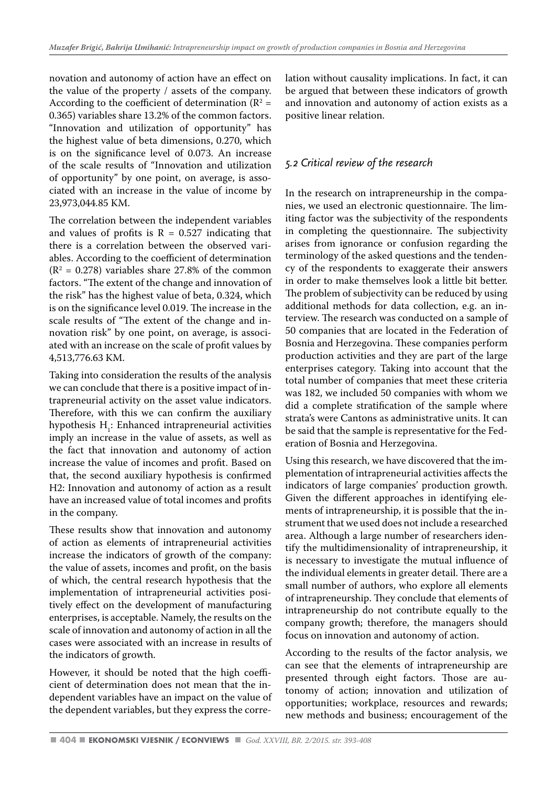novation and autonomy of action have an effect on the value of the property / assets of the company. According to the coefficient of determination ( $\mathbb{R}^2$  = 0.365) variables share 13.2% of the common factors. "Innovation and utilization of opportunity" has the highest value of beta dimensions, 0.270, which is on the significance level of 0.073. An increase of the scale results of "Innovation and utilization of opportunity" by one point, on average, is associated with an increase in the value of income by 23,973,044.85 KM.

The correlation between the independent variables and values of profits is  $R = 0.527$  indicating that there is a correlation between the observed variables. According to the coefficient of determination  $(R<sup>2</sup> = 0.278)$  variables share 27.8% of the common factors. "The extent of the change and innovation of the risk" has the highest value of beta, 0.324, which is on the significance level 0.019. The increase in the scale results of "The extent of the change and innovation risk" by one point, on average, is associated with an increase on the scale of profit values by 4,513,776.63 KM.

Taking into consideration the results of the analysis we can conclude that there is a positive impact of intrapreneurial activity on the asset value indicators. Therefore, with this we can confirm the auxiliary hypothesis  $H_i$ : Enhanced intrapreneurial activities imply an increase in the value of assets, as well as the fact that innovation and autonomy of action increase the value of incomes and profit. Based on that, the second auxiliary hypothesis is confirmed H2: Innovation and autonomy of action as a result have an increased value of total incomes and profits in the company.

These results show that innovation and autonomy of action as elements of intrapreneurial activities increase the indicators of growth of the company: the value of assets, incomes and profit, on the basis of which, the central research hypothesis that the implementation of intrapreneurial activities positively effect on the development of manufacturing enterprises, is acceptable. Namely, the results on the scale of innovation and autonomy of action in all the cases were associated with an increase in results of the indicators of growth.

However, it should be noted that the high coefficient of determination does not mean that the independent variables have an impact on the value of the dependent variables, but they express the correlation without causality implications. In fact, it can be argued that between these indicators of growth and innovation and autonomy of action exists as a positive linear relation.

# *5.2 Critical review of the research*

In the research on intrapreneurship in the companies, we used an electronic questionnaire. The limiting factor was the subjectivity of the respondents in completing the questionnaire. The subjectivity arises from ignorance or confusion regarding the terminology of the asked questions and the tendency of the respondents to exaggerate their answers in order to make themselves look a little bit better. The problem of subjectivity can be reduced by using additional methods for data collection, e.g. an interview. The research was conducted on a sample of 50 companies that are located in the Federation of Bosnia and Herzegovina. These companies perform production activities and they are part of the large enterprises category. Taking into account that the total number of companies that meet these criteria was 182, we included 50 companies with whom we did a complete stratification of the sample where strata's were Cantons as administrative units. It can be said that the sample is representative for the Federation of Bosnia and Herzegovina.

Using this research, we have discovered that the implementation of intrapreneurial activities affects the indicators of large companies' production growth. Given the different approaches in identifying elements of intrapreneurship, it is possible that the instrument that we used does not include a researched area. Although a large number of researchers identify the multidimensionality of intrapreneurship, it is necessary to investigate the mutual influence of the individual elements in greater detail. There are a small number of authors, who explore all elements of intrapreneurship. They conclude that elements of intrapreneurship do not contribute equally to the company growth; therefore, the managers should focus on innovation and autonomy of action.

According to the results of the factor analysis, we can see that the elements of intrapreneurship are presented through eight factors. Those are autonomy of action; innovation and utilization of opportunities; workplace, resources and rewards; new methods and business; encouragement of the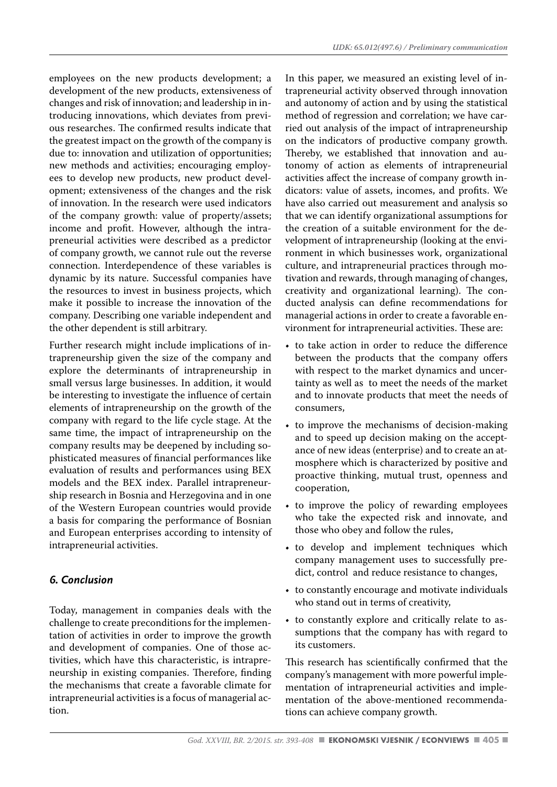employees on the new products development; a development of the new products, extensiveness of changes and risk of innovation; and leadership in introducing innovations, which deviates from previous researches. The confirmed results indicate that the greatest impact on the growth of the company is due to: innovation and utilization of opportunities; new methods and activities; encouraging employees to develop new products, new product development; extensiveness of the changes and the risk of innovation. In the research were used indicators of the company growth: value of property/assets; income and profit. However, although the intrapreneurial activities were described as a predictor of company growth, we cannot rule out the reverse connection. Interdependence of these variables is dynamic by its nature. Successful companies have the resources to invest in business projects, which make it possible to increase the innovation of the company. Describing one variable independent and the other dependent is still arbitrary.

Further research might include implications of intrapreneurship given the size of the company and explore the determinants of intrapreneurship in small versus large businesses. In addition, it would be interesting to investigate the influence of certain elements of intrapreneurship on the growth of the company with regard to the life cycle stage. At the same time, the impact of intrapreneurship on the company results may be deepened by including sophisticated measures of financial performances like evaluation of results and performances using BEX models and the BEX index. Parallel intrapreneurship research in Bosnia and Herzegovina and in one of the Western European countries would provide a basis for comparing the performance of Bosnian and European enterprises according to intensity of intrapreneurial activities.

# *6. Conclusion*

Today, management in companies deals with the challenge to create preconditions for the implementation of activities in order to improve the growth and development of companies. One of those activities, which have this characteristic, is intrapreneurship in existing companies. Therefore, finding the mechanisms that create a favorable climate for intrapreneurial activities is a focus of managerial action.

In this paper, we measured an existing level of intrapreneurial activity observed through innovation and autonomy of action and by using the statistical method of regression and correlation; we have carried out analysis of the impact of intrapreneurship on the indicators of productive company growth. Thereby, we established that innovation and autonomy of action as elements of intrapreneurial activities affect the increase of company growth indicators: value of assets, incomes, and profits. We have also carried out measurement and analysis so that we can identify organizational assumptions for the creation of a suitable environment for the development of intrapreneurship (looking at the environment in which businesses work, organizational culture, and intrapreneurial practices through motivation and rewards, through managing of changes, creativity and organizational learning). The conducted analysis can define recommendations for managerial actions in order to create a favorable environment for intrapreneurial activities. These are:

- to take action in order to reduce the difference between the products that the company offers with respect to the market dynamics and uncertainty as well as to meet the needs of the market and to innovate products that meet the needs of consumers,
- to improve the mechanisms of decision-making and to speed up decision making on the acceptance of new ideas (enterprise) and to create an atmosphere which is characterized by positive and proactive thinking, mutual trust, openness and cooperation,
- to improve the policy of rewarding employees who take the expected risk and innovate, and those who obey and follow the rules,
- to develop and implement techniques which company management uses to successfully predict, control and reduce resistance to changes,
- to constantly encourage and motivate individuals who stand out in terms of creativity,
- to constantly explore and critically relate to assumptions that the company has with regard to its customers.

This research has scientifically confirmed that the company's management with more powerful implementation of intrapreneurial activities and implementation of the above-mentioned recommendations can achieve company growth.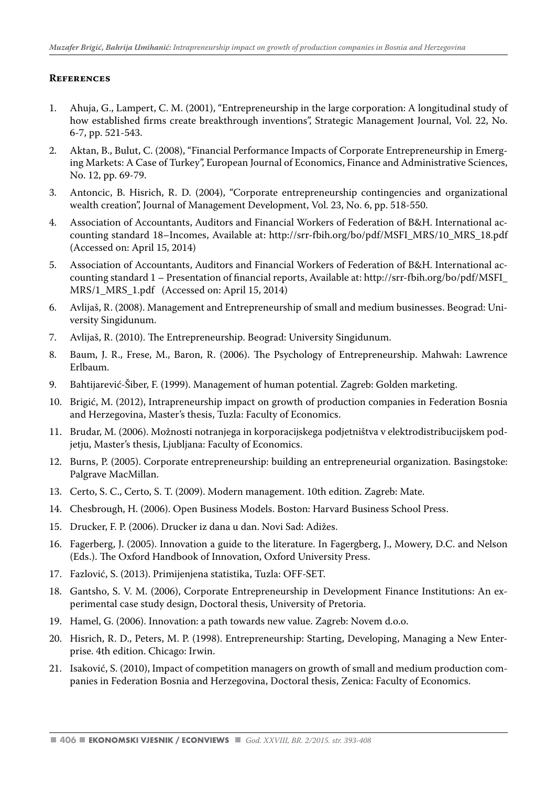#### **References**

- 1. Ahuja, G., Lampert, C. M. (2001), "Entrepreneurship in the large corporation: A longitudinal study of how established firms create breakthrough inventions", Strategic Management Journal, Vol. 22, No. 6-7, pp. 521-543.
- 2. Aktan, B., Bulut, C. (2008), "Financial Performance Impacts of Corporate Entrepreneurship in Emerging Markets: A Case of Turkey", European Journal of Economics, Finance and Administrative Sciences, No. 12, pp. 69-79.
- 3. Antoncic, B. Hisrich, R. D. (2004), "Corporate entrepreneurship contingencies and organizational wealth creation", Journal of Management Development, Vol. 23, No. 6, pp. 518-550.
- 4. Association of Accountants, Auditors and Financial Workers of Federation of B&H. International accounting standard 18–Incomes, Available at: http://srr-fbih.org/bo/pdf/MSFI\_MRS/10\_MRS\_18.pdf (Accessed on: April 15, 2014)
- 5. Association of Accountants, Auditors and Financial Workers of Federation of B&H. International accounting standard 1 – Presentation of financial reports, Available at: http://srr-fbih.org/bo/pdf/MSFI\_ MRS/1\_MRS\_1.pdf (Accessed on: April 15, 2014)
- 6. Avlijaš, R. (2008). Management and Entrepreneurship of small and medium businesses. Beograd: University Singidunum.
- 7. Avlijaš, R. (2010). The Entrepreneurship. Beograd: University Singidunum.
- 8. Baum, J. R., Frese, M., Baron, R. (2006). The Psychology of Entrepreneurship. Mahwah: Lawrence Erlbaum.
- 9. Bahtijarević-Šiber, F. (1999). Management of human potential. Zagreb: Golden marketing.
- 10. Brigić, M. (2012), Intrapreneurship impact on growth of production companies in Federation Bosnia and Herzegovina, Master's thesis, Tuzla: Faculty of Economics.
- 11. Brudar, M. (2006). Možnosti notranjega in korporacijskega podjetništva v elektrodistribucijskem podjetju, Master's thesis, Ljubljana: Faculty of Economics.
- 12. Burns, P. (2005). Corporate entrepreneurship: building an entrepreneurial organization. Basingstoke: Palgrave MacMillan.
- 13. Certo, S. C., Certo, S. T. (2009). Modern management. 10th edition. Zagreb: Mate.
- 14. Chesbrough, H. (2006). Open Business Models. Boston: Harvard Business School Press.
- 15. Drucker, F. P. (2006). Drucker iz dana u dan. Novi Sad: Adižes.
- 16. Fagerberg, J. (2005). Innovation a guide to the literature. In Fagergberg, J., Mowery, D.C. and Nelson (Eds.). The Oxford Handbook of Innovation, Oxford University Press.
- 17. Fazlović, S. (2013). Primijenjena statistika, Tuzla: OFF-SET.
- 18. Gantsho, S. V. M. (2006), Corporate Entrepreneurship in Development Finance Institutions: An experimental case study design, Doctoral thesis, University of Pretoria.
- 19. Hamel, G. (2006). Innovation: a path towards new value. Zagreb: Novem d.o.o.
- 20. Hisrich, R. D., Peters, M. P. (1998). Entrepreneurship: Starting, Developing, Managing a New Enterprise. 4th edition. Chicago: Irwin.
- 21. Isaković, S. (2010), Impact of competition managers on growth of small and medium production companies in Federation Bosnia and Herzegovina, Doctoral thesis, Zenica: Faculty of Economics.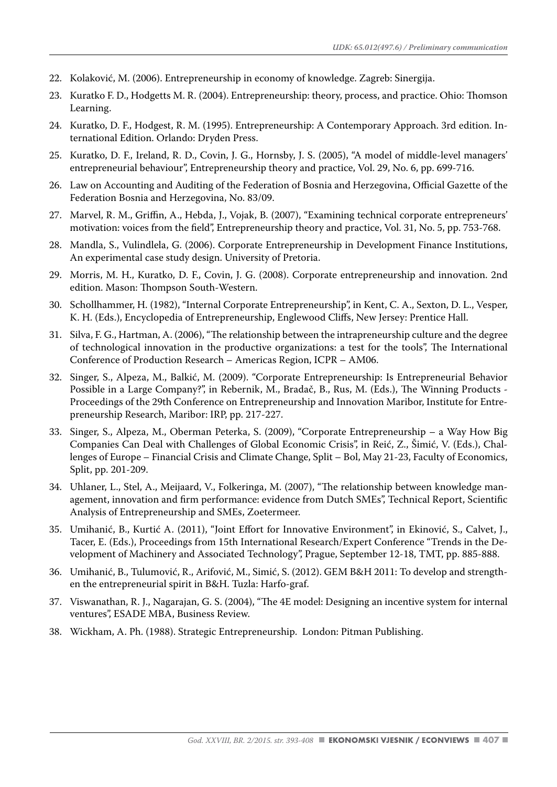- 22. Kolaković, M. (2006). Entrepreneurship in economy of knowledge. Zagreb: Sinergija.
- 23. Kuratko F. D., Hodgetts M. R. (2004). Entrepreneurship: theory, process, and practice. Ohio: Thomson Learning.
- 24. Kuratko, D. F., Hodgest, R. M. (1995). Entrepreneurship: A Contemporary Approach. 3rd edition. International Edition. Orlando: Dryden Press.
- 25. Kuratko, D. F., Ireland, R. D., Covin, J. G., Hornsby, J. S. (2005), "A model of middle-level managers' entrepreneurial behaviour", Entrepreneurship theory and practice, Vol. 29, No. 6, pp. 699-716.
- 26. Law on Accounting and Auditing of the Federation of Bosnia and Herzegovina, Official Gazette of the Federation Bosnia and Herzegovina, No. 83/09.
- 27. Marvel, R. M., Griffin, A., Hebda, J., Vojak, B. (2007), "Examining technical corporate entrepreneurs' motivation: voices from the field", Entrepreneurship theory and practice, Vol. 31, No. 5, pp. 753-768.
- 28. Mandla, S., Vulindlela, G. (2006). Corporate Entrepreneurship in Development Finance Institutions, An experimental case study design. University of Pretoria.
- 29. Morris, M. H., Kuratko, D. F., Covin, J. G. (2008). Corporate entrepreneurship and innovation. 2nd edition. Mason: Thompson South-Western.
- 30. Schollhammer, H. (1982), "Internal Corporate Entrepreneurship", in Kent, C. A., Sexton, D. L., Vesper, K. H. (Eds.), Encyclopedia of Entrepreneurship, Englewood Cliffs, New Jersey: Prentice Hall.
- 31. Silva, F. G., Hartman, A. (2006), "The relationship between the intrapreneurship culture and the degree of technological innovation in the productive organizations: a test for the tools", The International Conference of Production Research – Americas Region, ICPR – AM06.
- 32. Singer, S., Alpeza, M., Balkić, M. (2009). "Corporate Entrepreneurship: Is Entrepreneurial Behavior Possible in a Large Company?", in Rebernik, M., Bradač, B., Rus, M. (Eds.), The Winning Products - Proceedings of the 29th Conference on Entrepreneurship and Innovation Maribor, Institute for Entrepreneurship Research, Maribor: IRP, pp. 217-227.
- 33. Singer, S., Alpeza, M., Oberman Peterka, S. (2009), "Corporate Entrepreneurship a Way How Big Companies Can Deal with Challenges of Global Economic Crisis", in Reić, Z., Šimić, V. (Eds.), Challenges of Europe – Financial Crisis and Climate Change, Split – Bol, May 21-23, Faculty of Economics, Split, pp. 201-209.
- 34. Uhlaner, L., Stel, A., Meijaard, V., Folkeringa, M. (2007), "The relationship between knowledge management, innovation and firm performance: evidence from Dutch SMEs", Technical Report, Scientific Analysis of Entrepreneurship and SMEs, Zoetermeer.
- 35. Umihanić, B., Kurtić A. (2011), "Joint Effort for Innovative Environment", in Ekinović, S., Calvet, J., Tacer, E. (Eds.), Proceedings from 15th International Research/Expert Conference "Trends in the Development of Machinery and Associated Technology", Prague, September 12-18, TMT, pp. 885-888.
- 36. Umihanić, B., Tulumović, R., Arifović, M., Simić, S. (2012). GEM B&H 2011: To develop and strengthen the entrepreneurial spirit in B&H. Tuzla: Harfo-graf.
- 37. Viswanathan, R. J., Nagarajan, G. S. (2004), "The 4E model: Designing an incentive system for internal ventures", ESADE MBA, Business Review.
- 38. Wickham, A. Ph. (1988). Strategic Entrepreneurship. London: Pitman Publishing.